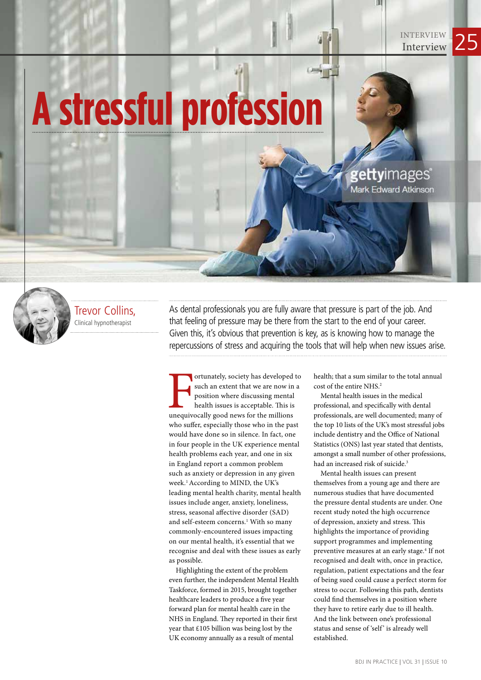## **A stressful profession**



Trevor Collins, Clinical hypnotherapist

As dental professionals you are fully aware that pressure is part of the job. And that feeling of pressure may be there from the start to the end of your career. Given this, it's obvious that prevention is key, as is knowing how to manage the repercussions of stress and acquiring the tools that will help when new issues arise.

ortunately, society has developed<br>such an extent that we are now in<br>position where discussing mental<br>health issues is acceptable. This is<br>unequivocally good news for the millions ortunately, society has developed to such an extent that we are now in a position where discussing mental health issues is acceptable. This is who suffer, especially those who in the past would have done so in silence. In fact, one in four people in the UK experience mental health problems each year, and one in six in England report a common problem such as anxiety or depression in any given week.1 According to MIND, the UK's leading mental health charity, mental health issues include anger, anxiety, loneliness, stress, seasonal affective disorder (SAD) and self-esteem concerns.<sup>1</sup> With so many commonly-encountered issues impacting on our mental health, it's essential that we recognise and deal with these issues as early as possible.

Highlighting the extent of the problem even further, the independent Mental Health Taskforce, formed in 2015, brought together healthcare leaders to produce a five year forward plan for mental health care in the NHS in England. They reported in their first year that £105 billion was being lost by the UK economy annually as a result of mental

health; that a sum similar to the total annual cost of the entire NHS.2

gettyimages® Mark Edward Atkinson

INTERVIEW 25

Mental health issues in the medical professional, and specifically with dental professionals, are well documented; many of the top 10 lists of the UK's most stressful jobs include dentistry and the Office of National Statistics (ONS) last year stated that dentists, amongst a small number of other professions, had an increased risk of suicide.<sup>3</sup>

Mental health issues can present themselves from a young age and there are numerous studies that have documented the pressure dental students are under. One recent study noted the high occurrence of depression, anxiety and stress. This highlights the importance of providing support programmes and implementing preventive measures at an early stage.4 If not recognised and dealt with, once in practice, regulation, patient expectations and the fear of being sued could cause a perfect storm for stress to occur. Following this path, dentists could find themselves in a position where they have to retire early due to ill health. And the link between one's professional status and sense of 'self' is already well established.